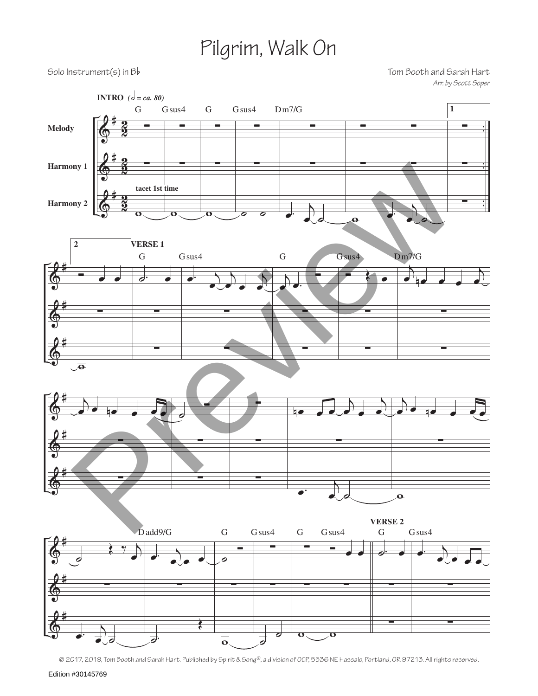## Pilgrim, Walk On

Solo Instrument(s) in Bb 500 Units and Sarah Hart *Arr. by Scott Soper*



<sup>© 2017, 2019,</sup> Tom Booth and Sarah Hart. Published by Spirit & Song®, a division of OCP, 5536 NE Hassalo, Portland, OR 97213. All rights reserved.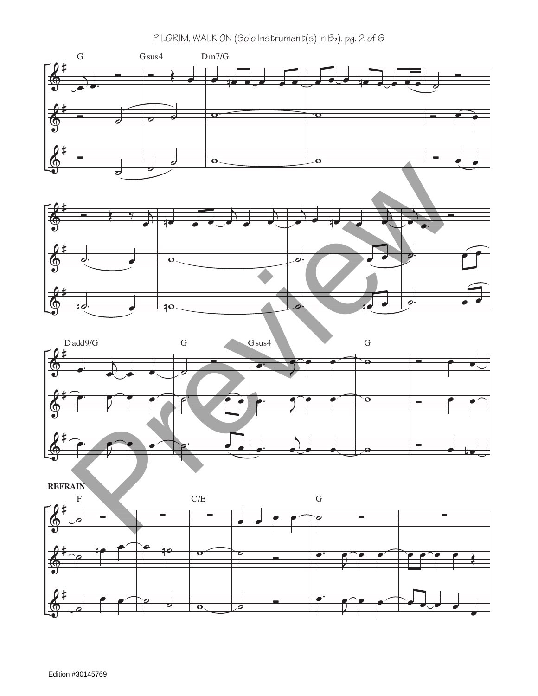





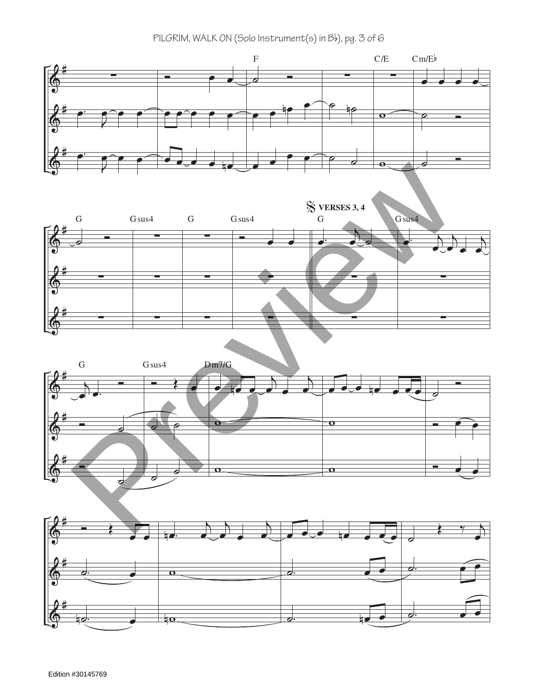PILGRIM, WALK ON (Solo Instrument(s) in Bb), pg. 3 of 6

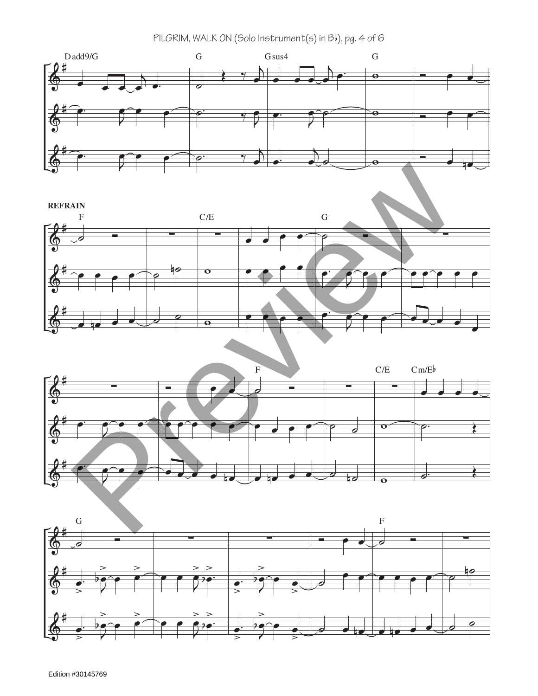PILGRIM, WALK ON (Solo Instrument(s) in Bb), pg. 4 of 6







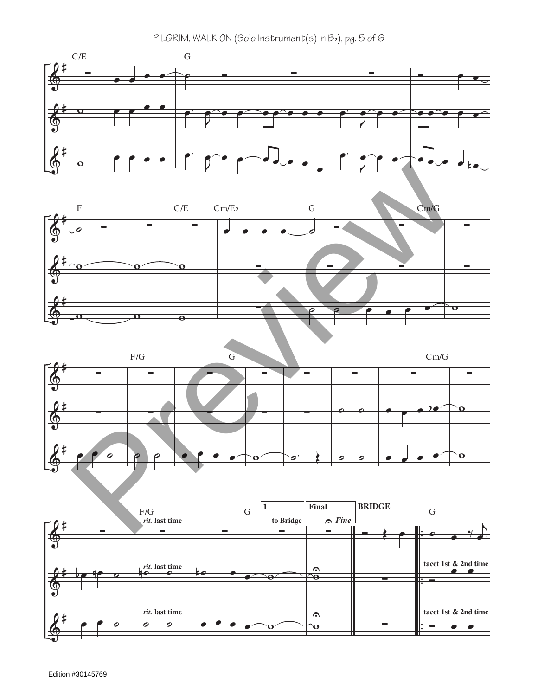PILGRIM, WALK ON (Solo Instrument(s) in Bb), pg. 5 of 6